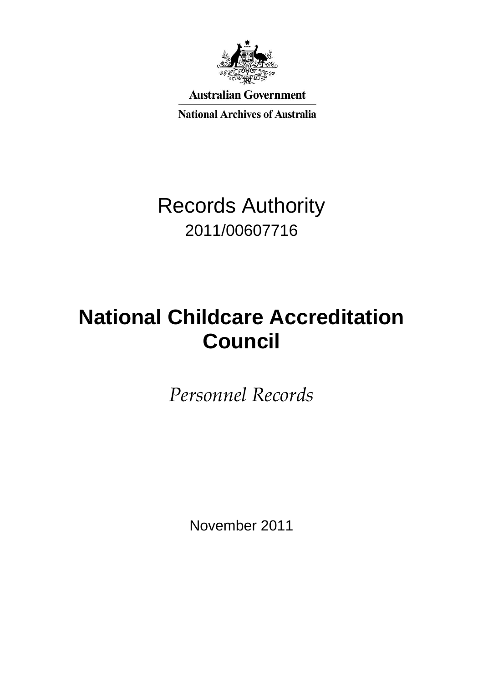

**Australian Government** 

**National Archives of Australia** 

# Records Authority 2011/00607716

# **National Childcare Accreditation Council**

*Personnel Records*

November 2011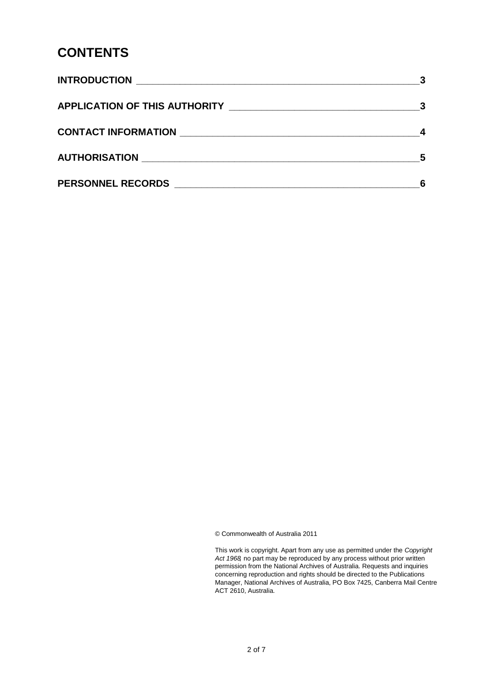### **CONTENTS**

| AUTHORISATION NATION                                                                                                                             | - 5 |
|--------------------------------------------------------------------------------------------------------------------------------------------------|-----|
| <b>PERSONNEL RECORDS</b><br><u> 2000 - 2000 - 2000 - 2000 - 2000 - 2000 - 2000 - 2000 - 2000 - 2000 - 2000 - 2000 - 2000 - 2000 - 2000 - 200</u> |     |

© Commonwealth of Australia 2011

 This work is copyright. Apart from any use as permitted under the *Copyright Act 1968,* no part may be reproduced by any process without prior written permission from the National Archives of Australia. Requests and inquiries concerning reproduction and rights should be directed to the Publications Manager, National Archives of Australia, PO Box 7425, Canberra Mail Centre ACT 2610, Australia.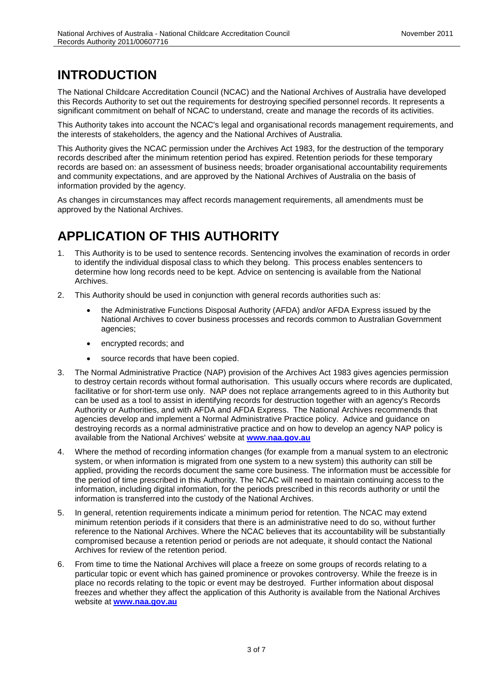# **INTRODUCTION**

The National Childcare Accreditation Council (NCAC) and the National Archives of Australia have developed this Records Authority to set out the requirements for destroying specified personnel records. It represents a significant commitment on behalf of NCAC to understand, create and manage the records of its activities.

This Authority takes into account the NCAC's legal and organisational records management requirements, and the interests of stakeholders, the agency and the National Archives of Australia.

 This Authority gives the NCAC permission under the Archives Act 1983, for the destruction of the temporary and community expectations, and are approved by the National Archives of Australia on the basis of information provided by the agency. records described after the minimum retention period has expired. Retention periods for these temporary records are based on: an assessment of business needs; broader organisational accountability requirements

As changes in circumstances may affect records management requirements, all amendments must be approved by the National Archives.

## **APPLICATION OF THIS AUTHORITY**

- 1. This Authority is to be used to sentence records. Sentencing involves the examination of records in order to identify the individual disposal class to which they belong. This process enables sentencers to determine how long records need to be kept. Advice on sentencing is available from the National Archives.
- 2. This Authority should be used in conjunction with general records authorities such as:
	- the Administrative Functions Disposal Authority (AFDA) and/or AFDA Express issued by the National Archives to cover business processes and records common to Australian Government agencies;
	- encrypted records; and
	- source records that have been copied.
- facilitative or for short-term use only. NAP does not replace arrangements agreed to in this Authority but can be used as a tool to assist in identifying records for destruction together with an agency's Records destroying records as a normal administrative practice and on how to develop an agency NAP policy is available from the National Archives' website at **[www.naa.gov.au](http://www.naa.gov.au/)** 3. The Normal Administrative Practice (NAP) provision of the Archives Act 1983 gives agencies permission to destroy certain records without formal authorisation. This usually occurs where records are duplicated, Authority or Authorities, and with AFDA and AFDA Express. The National Archives recommends that agencies develop and implement a Normal Administrative Practice policy. Advice and guidance on
- system, or when information is migrated from one system to a new system) this authority can still be information is transferred into the custody of the National Archives. 4. Where the method of recording information changes (for example from a manual system to an electronic applied, providing the records document the same core business. The information must be accessible for the period of time prescribed in this Authority. The NCAC will need to maintain continuing access to the information, including digital information, for the periods prescribed in this records authority or until the
- compromised because a retention period or periods are not adequate, it should contact the National 5. In general, retention requirements indicate a minimum period for retention. The NCAC may extend minimum retention periods if it considers that there is an administrative need to do so, without further reference to the National Archives. Where the NCAC believes that its accountability will be substantially Archives for review of the retention period.
- 6. From time to time the National Archives will place a freeze on some groups of records relating to a place no records relating to the topic or event may be destroyed. Further information about disposal freezes and whether they affect the application of this Authority is available from the National Archives website at **[www.naa.gov.au](http://www.naa.gov.au/)** particular topic or event which has gained prominence or provokes controversy. While the freeze is in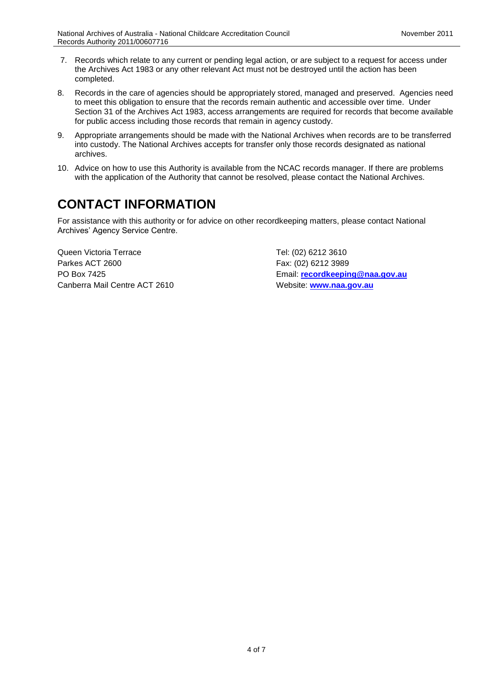- $7.$  the Archives Act 1983 or any other relevant Act must not be destroyed until the action has been 7. Records which relate to any current or pending legal action, or are subject to a request for access under completed.
- 8. Records in the care of agencies should be appropriately stored, managed and preserved. Agencies need to meet this obligation to ensure that the records remain authentic and accessible over time. Under Section 31 of the Archives Act 1983, access arrangements are required for records that become available for public access including those records that remain in agency custody.
- 9. Appropriate arrangements should be made with the National Archives when records are to be transferred into custody. The National Archives accepts for transfer only those records designated as national archives.
- 10. Advice on how to use this Authority is available from the NCAC records manager. If there are problems with the application of the Authority that cannot be resolved, please contact the National Archives.

# **CONTACT INFORMATION**

 Archives' Agency Service Centre. For assistance with this authority or for advice on other recordkeeping matters, please contact National

Queen Victoria Terrace Tel: (02) 6212 3610 Parkes ACT 2600 Fax: (02) 6212 3989 Canberra Mail Centre ACT 2610 Website: www.naa.gov.au

PO Box 7425 Email: **[recordkeeping@naa.gov.au](mailto:recordkeeping@naa.gov.au)**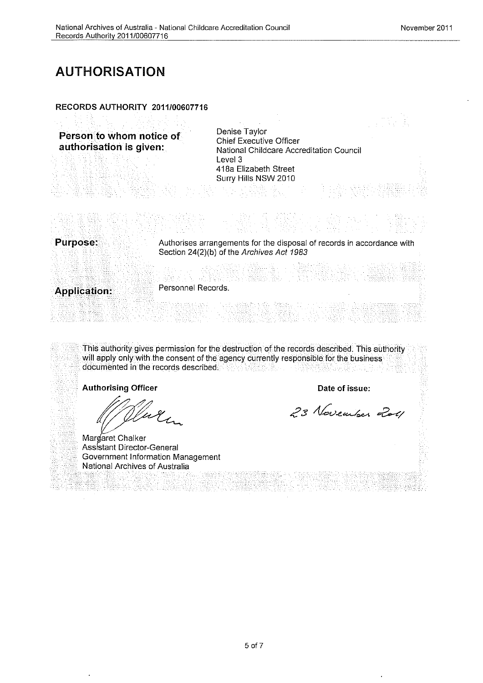### AUTHORISATION

#### RECORDS AUTHORITY 2011/00607716

**Person to whom notice of Chief Executive Officer<br>
2018 Chief Executive Officer Accreditation Council<br>
2018 National Childcare Accreditation Council** Level 3 418a Elizabeth Street Surry Hills NSW 2010

Purpose: Authorises arrangements for the disposal of records in accordance with Section 24(2)(b) of the Archives Act 1983

Personnel Records. Application:

This authority gives permission for the destruction of the records described. This authority will apply only with the consent of the agency currently responsible for the business documented in the records described. APAA 1622 (INA) INA - 国際四盟高品質の

Authorising Officer **Date of issue:** 

En

Margaret Chalker Assistant Director-General Government Information Management National Archives of Australia

23 November 2011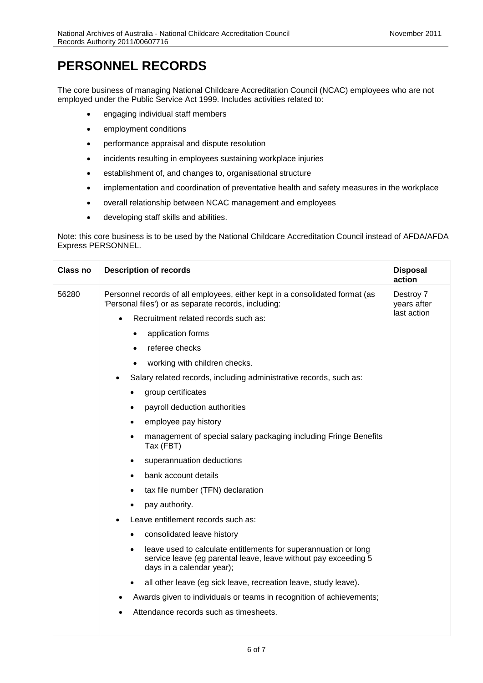# **PERSONNEL RECORDS**

 The core business of managing National Childcare Accreditation Council (NCAC) employees who are not employed under the Public Service Act 1999. Includes activities related to:

- engaging individual staff members
- employment conditions
- performance appraisal and dispute resolution
- incidents resulting in employees sustaining workplace injuries
- establishment of, and changes to, organisational structure
- implementation and coordination of preventative health and safety measures in the workplace
- overall relationship between NCAC management and employees
- developing staff skills and abilities.

 Note: this core business is to be used by the National Childcare Accreditation Council instead of AFDA/AFDA Express PERSONNEL.

| <b>Class no</b> | <b>Description of records</b>                                                                                                                                                | <b>Disposal</b><br>action |
|-----------------|------------------------------------------------------------------------------------------------------------------------------------------------------------------------------|---------------------------|
| 56280           | Personnel records of all employees, either kept in a consolidated format (as<br>'Personal files') or as separate records, including:                                         | Destroy 7<br>years after  |
|                 | Recruitment related records such as:<br>$\bullet$                                                                                                                            | last action               |
|                 | application forms<br>$\bullet$                                                                                                                                               |                           |
|                 | referee checks<br>٠                                                                                                                                                          |                           |
|                 | working with children checks.<br>$\bullet$                                                                                                                                   |                           |
|                 | Salary related records, including administrative records, such as:                                                                                                           |                           |
|                 | group certificates                                                                                                                                                           |                           |
|                 | payroll deduction authorities<br>$\bullet$                                                                                                                                   |                           |
|                 | employee pay history<br>٠                                                                                                                                                    |                           |
|                 | management of special salary packaging including Fringe Benefits<br>$\bullet$<br>Tax (FBT)                                                                                   |                           |
|                 | superannuation deductions<br>٠                                                                                                                                               |                           |
|                 | bank account details                                                                                                                                                         |                           |
|                 | tax file number (TFN) declaration                                                                                                                                            |                           |
|                 | pay authority.                                                                                                                                                               |                           |
|                 | Leave entitlement records such as:                                                                                                                                           |                           |
|                 | consolidated leave history<br>$\bullet$                                                                                                                                      |                           |
|                 | leave used to calculate entitlements for superannuation or long<br>$\bullet$<br>service leave (eg parental leave, leave without pay exceeding 5<br>days in a calendar year); |                           |
|                 | all other leave (eg sick leave, recreation leave, study leave).                                                                                                              |                           |
|                 | Awards given to individuals or teams in recognition of achievements;<br>$\bullet$                                                                                            |                           |
|                 | Attendance records such as timesheets.                                                                                                                                       |                           |